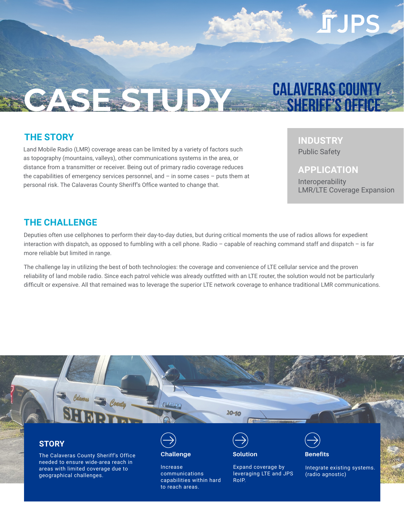SESED YALAVERAS COUNTY

### **THE STORY**

Land Mobile Radio (LMR) coverage areas can be limited by a variety of factors such as topography (mountains, valleys), other communications systems in the area, or distance from a transmitter or receiver. Being out of primary radio coverage reduces the capabilities of emergency services personnel, and – in some cases – puts them at personal risk. The Calaveras County Sheriff's Office wanted to change that.

## **INDUSTRY**

Public Safety

#### **APPLICATION**

Interoperability LMR/LTE Coverage Expansion

### **THE CHALLENGE**

Deputies often use cellphones to perform their day-to-day duties, but during critical moments the use of radios allows for expedient interaction with dispatch, as opposed to fumbling with a cell phone. Radio – capable of reaching command staff and dispatch – is far more reliable but limited in range.

The challenge lay in utilizing the best of both technologies: the coverage and convenience of LTE cellular service and the proven reliability of land mobile radio. Since each patrol vehicle was already outfitted with an LTE router, the solution would not be particularly difficult or expensive. All that remained was to leverage the superior LTE network coverage to enhance traditional LMR communications.